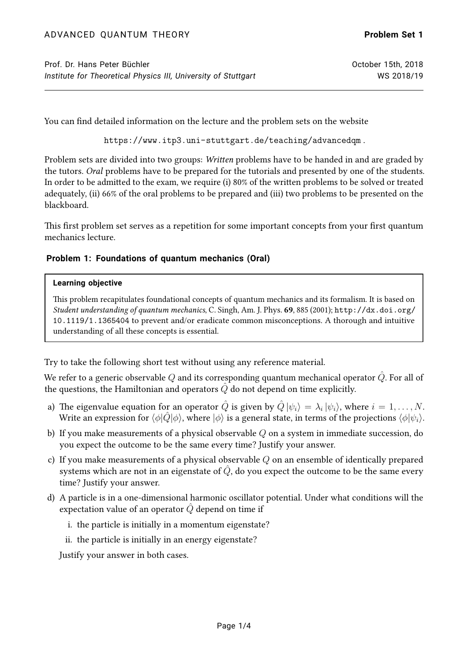You can find detailed information on the lecture and the problem sets on the website

<https://www.itp3.uni-stuttgart.de/teaching/advancedqm> .

Problem sets are divided into two groups: Written problems have to be handed in and are graded by the tutors. Oral problems have to be prepared for the tutorials and presented by one of the students. In order to be admitted to the exam, we require (i) 80% of the written problems to be solved or treated adequately, (ii) 66% of the oral problems to be prepared and (iii) two problems to be presented on the blackboard.

This first problem set serves as a repetition for some important concepts from your first quantum mechanics lecture.

# **Problem 1: Foundations of quantum mechanics (Oral)**

### **Learning objective**

This problem recapitulates foundational concepts of quantum mechanics and its formalism. It is based on Student understanding of quantum mechanics, C. Singh, Am. J. Phys. 69, 885 (2001); [http://dx.doi.org/](http://dx.doi.org/10.1119/1.1365404) [10.1119/1.1365404](http://dx.doi.org/10.1119/1.1365404) to prevent and/or eradicate common misconceptions. A thorough and intuitive understanding of all these concepts is essential.

Try to take the following short test without using any reference material.

We refer to a generic observable  $Q$  and its corresponding quantum mechanical operator  $\tilde{Q}$ . For all of the questions, the Hamiltonian and operators  $\hat{Q}$  do not depend on time explicitly.

- a) The eigenvalue equation for an operator  $\hat{Q}$  is given by  $\hat{Q}\ket{\psi_i}=\lambda_i\ket{\psi_i},$  where  $i=1,\ldots,N.$ Write an expression for  $\langle \phi | \hat{Q} | \phi \rangle$ , where  $| \phi \rangle$  is a general state, in terms of the projections  $\langle \phi | \psi_i \rangle$ .
- b) If you make measurements of a physical observable  $Q$  on a system in immediate succession, do you expect the outcome to be the same every time? Justify your answer.
- c) If you make measurements of a physical observable  $Q$  on an ensemble of identically prepared systems which are not in an eigenstate of  $\hat{Q}$ , do you expect the outcome to be the same every time? Justify your answer.
- d) A particle is in a one-dimensional harmonic oscillator potential. Under what conditions will the expectation value of an operator  $\hat{Q}$  depend on time if
	- i. the particle is initially in a momentum eigenstate?
	- ii. the particle is initially in an energy eigenstate?

Justify your answer in both cases.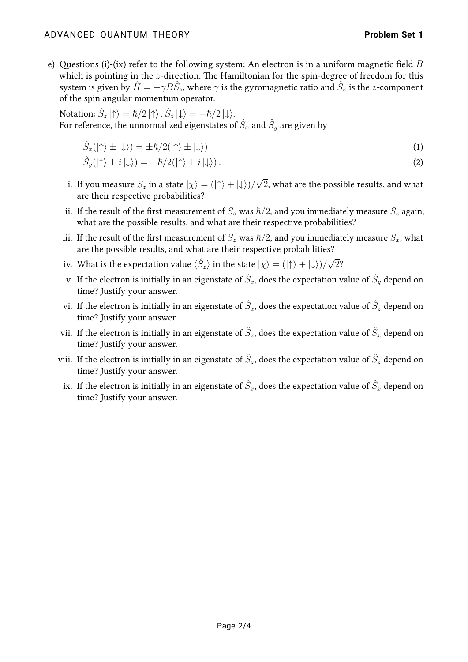### ADVANCED QUANTUM THEORY **Problem Set 1**

e) Questions (i)-(ix) refer to the following system: An electron is in a uniform magnetic field B which is pointing in the  $z$ -direction. The Hamiltonian for the spin-degree of freedom for this system is given by  $\hat{H} = -\gamma B \hat{S}_z$ , where  $\gamma$  is the gyromagnetic ratio and  $\hat{S}_z$  is the  $z$ -component of the spin angular momentum operator.

Notation:  $\hat{S}_z\ket{\uparrow}=\hbar/2\ket{\uparrow}, \hat{S}_z\ket{\downarrow}=-\hbar/2\ket{\downarrow}.$ For reference, the unnormalized eigenstates of  $\hat{S}_x$  and  $\hat{S}_y$  are given by

$$
\hat{S}_x(|\uparrow\rangle \pm |\downarrow\rangle) = \pm \hbar/2(|\uparrow\rangle \pm |\downarrow\rangle) \tag{1}
$$

$$
\hat{S}_y(|\uparrow\rangle \pm i|\downarrow\rangle) = \pm \hbar/2(|\uparrow\rangle \pm i|\downarrow\rangle).
$$
\n(2)

- i. If you measure  $S_z$  in a state  $|\chi\rangle = (|\!\!\uparrow\rangle + |\!\!\downarrow\rangle)/\sqrt{2}$ , what are the possible results, and what are their respective probabilities?
- ii. If the result of the first measurement of  $S_z$  was  $\hbar/2$ , and you immediately measure  $S_z$  again, what are the possible results, and what are their respective probabilities?
- iii. If the result of the first measurement of  $S_z$  was  $\hbar/2$ , and you immediately measure  $S_x$ , what are the possible results, and what are their respective probabilities?
- iv. What is the expectation value  $\langle \hat{S}_z \rangle$  in the state  $|\chi\rangle = (|\uparrow\rangle + |\downarrow\rangle)/\sqrt{2}$ ?
- v. If the electron is initially in an eigenstate of  $\hat{S}_x$ , does the expectation value of  $\hat{S}_y$  depend on time? Justify your answer.
- vi. If the electron is initially in an eigenstate of  $\hat{S}_x$ , does the expectation value of  $\hat{S}_z$  depend on time? Justify your answer.
- vii. If the electron is initially in an eigenstate of  $\hat{S}_z$ , does the expectation value of  $\hat{S}_x$  depend on time? Justify your answer.
- viii. If the electron is initially in an eigenstate of  $\hat{S}_z$ , does the expectation value of  $\hat{S}_z$  depend on time? Justify your answer.
- ix. If the electron is initially in an eigenstate of  $\hat{S}_x$ , does the expectation value of  $\hat{S}_x$  depend on time? Justify your answer.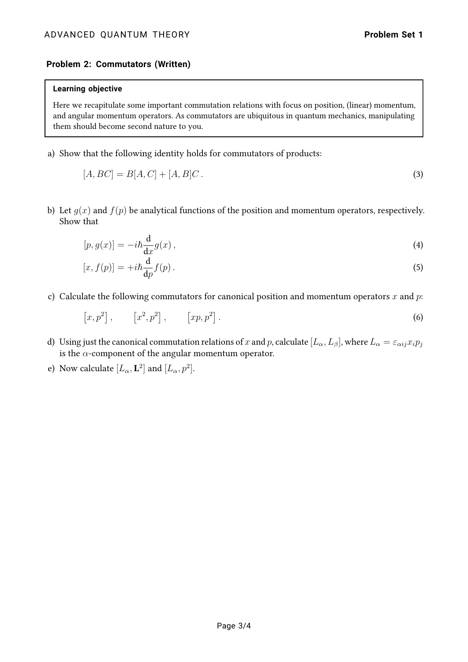## **Problem 2: Commutators (Written)**

#### **Learning objective**

Here we recapitulate some important commutation relations with focus on position, (linear) momentum, and angular momentum operators. As commutators are ubiquitous in quantum mechanics, manipulating them should become second nature to you.

a) Show that the following identity holds for commutators of products:

$$
[A, BC] = B[A, C] + [A, B]C.
$$
\n(3)

b) Let  $q(x)$  and  $f(p)$  be analytical functions of the position and momentum operators, respectively. Show that

$$
[p, g(x)] = -i\hbar \frac{\mathrm{d}}{\mathrm{d}x} g(x) , \qquad (4)
$$

$$
[x, f(p)] = +i\hbar \frac{\mathrm{d}}{\mathrm{d}p} f(p) \,. \tag{5}
$$

c) Calculate the following commutators for canonical position and momentum operators x and  $p$ .

$$
[x, p^2], \qquad [x^2, p^2], \qquad [xp, p^2].
$$
 (6)

- d) Using just the canonical commutation relations of x and p, calculate  $[L_\alpha, L_\beta]$ , where  $L_\alpha = \varepsilon_{\alpha ij} x_i p_j$ is the  $\alpha$ -component of the angular momentum operator.
- e) Now calculate  $[L_\alpha, \mathbf{L}^2]$  and  $[L_\alpha, p^2]$ .